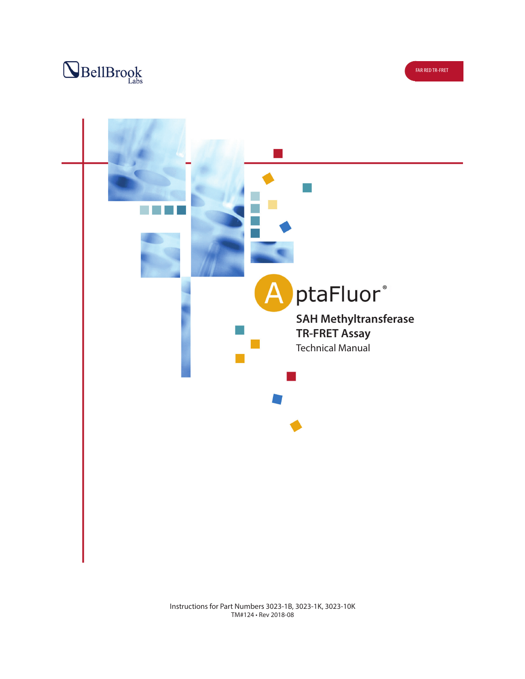



Instructions for Part Numbers 3023-1B, 3023-1K, 3023-10K TM#124 • Rev 2018-08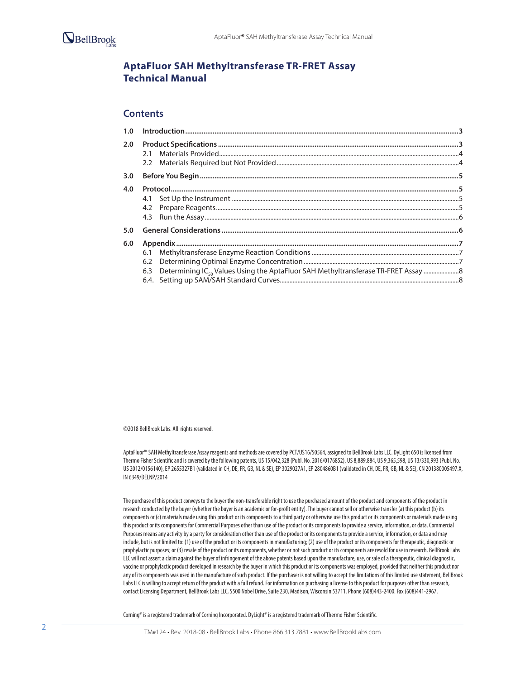

# **AptaFluor SAH Methyltransferase TR-FRET Assay Technical Manual**

## **Contents**

| 2.0                                                                                                    |  |
|--------------------------------------------------------------------------------------------------------|--|
|                                                                                                        |  |
|                                                                                                        |  |
|                                                                                                        |  |
| 6.1<br>6.3 Determining IC <sub>so</sub> Values Using the AptaFluor SAH Methyltransferase TR-FRET Assay |  |
|                                                                                                        |  |

©2018 BellBrook Labs. All rights reserved.

AptaFluor™ SAH Methyltransferase Assay reagents and methods are covered by PCT/US16/50564, assigned to BellBrook Labs LLC. DyLight 650 is licensed from Thermo Fisher Scientific and is covered by the following patents, US 15/042,328 (Publ. No. 2016/0176852), US 8,889,884, US 9,365,598, US 13/330,993 (Publ. No. US 2012/0156140), EP 2655327B1 (validated in CH, DE, FR, GB, NL & SE), EP 3029027A1, EP 2804860B1 (validated in CH, DE, FR, GB, NL & SE), CN 201380005497.X, IN 6349/DELNP/2014

The purchase of this product conveys to the buyer the non-transferable right to use the purchased amount of the product and components of the product in research conducted by the buyer (whether the buyer is an academic or for-profit entity). The buyer cannot sell or otherwise transfer (a) this product (b) its components or (c) materials made using this product or its components to a third party or otherwise use this product or its components or materials made using this product or its components for Commercial Purposes other than use of the product or its components to provide a service, information, or data. Commercial Purposes means any activity by a party for consideration other than use of the product or its components to provide a service, information, or data and may include, but is not limited to: (1) use of the product or its components in manufacturing; (2) use of the product or its components for therapeutic, diagnostic or prophylactic purposes; or (3) resale of the product or its components, whether or not such product or its components are resold for use in research. BellBrook Labs LLC will not assert a claim against the buyer of infringement of the above patents based upon the manufacture, use, or sale of a therapeutic, clinical diagnostic, vaccine or prophylactic product developed in research by the buyer in which this product or its components was employed, provided that neither this product nor any of its components was used in the manufacture of such product. If the purchaser is not willing to accept the limitations of this limited use statement, BellBrook Labs LLC is willing to accept return of the product with a full refund. For information on purchasing a license to this product for purposes other than research, contact Licensing Department, BellBrook Labs LLC, 5500 Nobel Drive, Suite 230, Madison, Wisconsin 53711. Phone (608)443-2400. Fax (608)441-2967.

Corning® is a registered trademark of Corning Incorporated. DyLight® is a registered trademark of Thermo Fisher Scientific.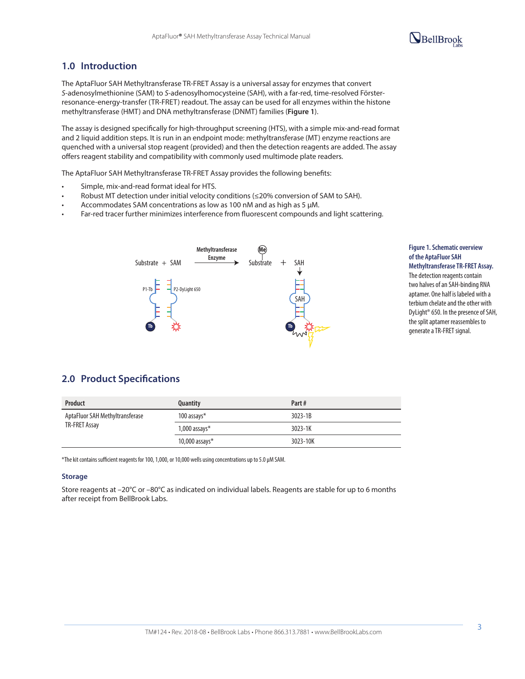# BellBrook

# **1.0 Introduction**

The AptaFluor SAH Methyltransferase TR-FRET Assay is a universal assay for enzymes that convert *S*-adenosylmethionine (SAM) to *S*-adenosylhomocysteine (SAH), with a far-red, time-resolved Försterresonance-energy-transfer (TR-FRET) readout. The assay can be used for all enzymes within the histone methyltransferase (HMT) and DNA methyltransferase (DNMT) families (**Figure 1**).

The assay is designed specifically for high-throughput screening (HTS), with a simple mix-and-read format and 2 liquid addition steps. It is run in an endpoint mode: methyltransferase (MT) enzyme reactions are quenched with a universal stop reagent (provided) and then the detection reagents are added. The assay offers reagent stability and compatibility with commonly used multimode plate readers.

The AptaFluor SAH Methyltransferase TR-FRET Assay provides the following benefits:

- Simple, mix-and-read format ideal for HTS.
- Robust MT detection under initial velocity conditions (≤20% conversion of SAM to SAH).
- Accommodates SAM concentrations as low as 100 nM and as high as 5 μM.
- Far-red tracer further minimizes interference from fluorescent compounds and light scattering.



### **Figure 1. Schematic overview of the AptaFluor SAH Methyltransferase TR-FRET Assay.**

The detection reagents contain two halves of an SAH-binding RNA aptamer. One half is labeled with a terbium chelate and the other with DyLight® 650. In the presence of SAH, the split aptamer reassembles to generate a TR-FRET signal.

## **2.0 Product Specifications**

| <b>Product</b>                  | Quantity          | Part#       |
|---------------------------------|-------------------|-------------|
| AptaFluor SAH Methyltransferase | 100 assays $*$    | $3023 - 1B$ |
| TR-FRET Assay                   | $1,000$ assays*   | 3023-1K     |
|                                 | 10,000 assays $*$ | 3023-10K    |

\*The kit contains sufficient reagents for 100, 1,000, or 10,000 wells using concentrations up to 5.0 µM SAM.

#### **Storage**

Store reagents at –20°C or –80°C as indicated on individual labels. Reagents are stable for up to 6 months after receipt from BellBrook Labs.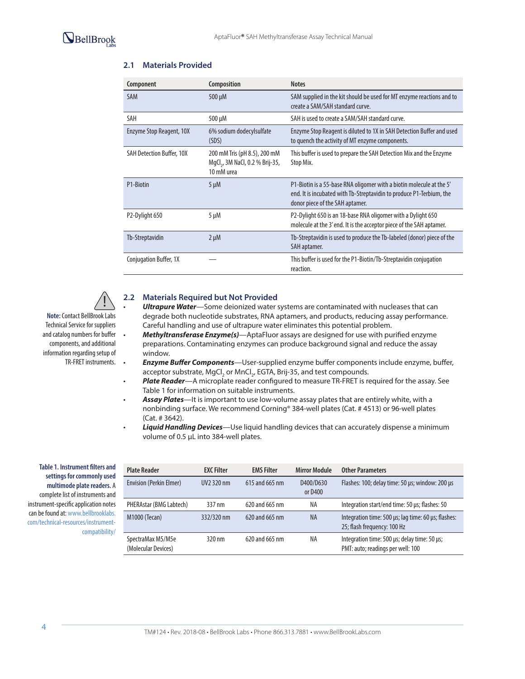| Component                        | Composition                                                                               | <b>Notes</b>                                                                                                                                                                    |
|----------------------------------|-------------------------------------------------------------------------------------------|---------------------------------------------------------------------------------------------------------------------------------------------------------------------------------|
| <b>SAM</b>                       | $500 \mu M$                                                                               | SAM supplied in the kit should be used for MT enzyme reactions and to<br>create a SAM/SAH standard curve.                                                                       |
| SAH                              | 500 µM                                                                                    | SAH is used to create a SAM/SAH standard curve.                                                                                                                                 |
| Enzyme Stop Reagent, 10X         | 6% sodium dodecylsulfate<br>(SDS)                                                         | Enzyme Stop Reagent is diluted to 1X in SAH Detection Buffer and used<br>to quench the activity of MT enzyme components.                                                        |
| <b>SAH Detection Buffer, 10X</b> | 200 mM Tris (pH 8.5), 200 mM<br>MgCl <sub>2</sub> , 3M NaCl, 0.2 % Brij-35,<br>10 mM urea | This buffer is used to prepare the SAH Detection Mix and the Enzyme<br>Stop Mix.                                                                                                |
| P1-Biotin                        | $5 \mu M$                                                                                 | P1-Biotin is a 55-base RNA oligomer with a biotin molecule at the 5'<br>end. It is incubated with Tb-Streptavidin to produce P1-Terbium, the<br>donor piece of the SAH aptamer. |
| P <sub>2</sub> -Dylight 650      | 5 µM                                                                                      | P2-Dylight 650 is an 18-base RNA oligomer with a Dylight 650<br>molecule at the 3' end. It is the acceptor piece of the SAH aptamer.                                            |
| Tb-Streptavidin                  | $2 \mu M$                                                                                 | Tb-Streptavidin is used to produce the Tb-labeled (donor) piece of the<br>SAH aptamer.                                                                                          |
| Conjugation Buffer, 1X           |                                                                                           | This buffer is used for the P1-Biotin/Tb-Streptavidin conjugation<br>reaction.                                                                                                  |

### **2.1 Materials Provided**

**Note:** Contact BellBrook Labs Technical Service for suppliers and catalog numbers for buffer !

components, and additional information regarding setup of TR-FRET instruments.

### **2.2 Materials Required but Not Provided**

- *Ultrapure Water*—Some deionized water systems are contaminated with nucleases that can degrade both nucleotide substrates, RNA aptamers, and products, reducing assay performance. Careful handling and use of ultrapure water eliminates this potential problem.
- *Methyltransferase Enzyme(s)*—AptaFluor assays are designed for use with purified enzyme preparations. Contaminating enzymes can produce background signal and reduce the assay window.
- *Enzyme Buffer Components*—User-supplied enzyme buffer components include enzyme, buffer, acceptor substrate, MgCl<sub>2</sub> or MnCl<sub>2</sub>, EGTA, Brij-35, and test compounds.
	- *Plate Reader*—A microplate reader configured to measure TR-FRET is required for the assay. See Table 1 for information on suitable instruments.
- *Assay Plates*—It is important to use low-volume assay plates that are entirely white, with a nonbinding surface. We recommend Corning® 384-well plates (Cat. # 4513) or 96-well plates (Cat. # 3642).
- *Liquid Handling Devices*—Use liquid handling devices that can accurately dispense a minimum volume of 0.5 µL into 384-well plates.

**Table 1. Instrument filters and settings for commonly used multimode plate readers.** A complete list of instruments and instrument-specific application notes can be found at: www.bellbrooklabs. com/technical-resources/instrumentcompatibility/

| <b>Plate Reader</b>                      | <b>EXC Filter</b>      | <b>EMS Filter</b> | <b>Mirror Module</b> | <b>Other Parameters</b>                                                            |
|------------------------------------------|------------------------|-------------------|----------------------|------------------------------------------------------------------------------------|
| <b>Envision (Perkin Elmer)</b>           | UV <sub>2</sub> 320 nm | 615 and 665 nm    | D400/D630<br>or D400 | Flashes: 100; delay time: 50 us; window: 200 us                                    |
| PHERAstar (BMG Labtech)                  | 337 nm                 | 620 and 665 nm    | ΝA                   | Integration start/end time: 50 us; flashes: 50                                     |
| <b>M1000 (Tecan)</b>                     | 332/320 nm             | 620 and 665 nm    | <b>NA</b>            | Integration time: 500 µs; lag time: 60 µs; flashes:<br>25; flash frequency: 100 Hz |
| SpectraMax M5/M5e<br>(Molecular Devices) | 320 nm                 | 620 and 665 nm    | ΝA                   | Integration time: 500 us; delay time: 50 us;<br>PMT: auto; readings per well: 100  |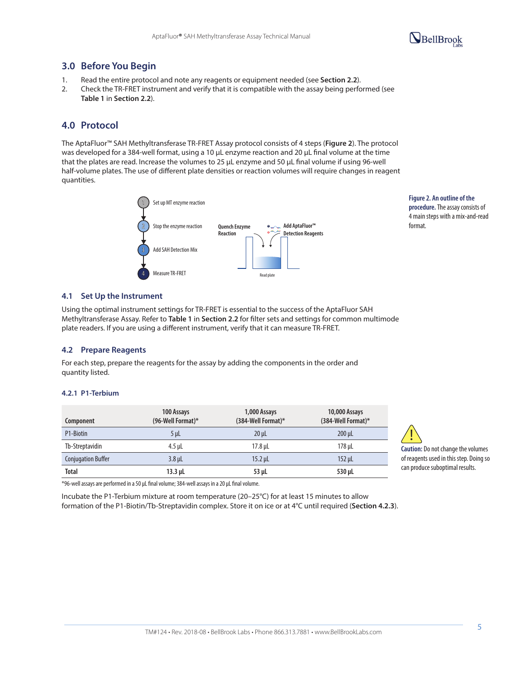

# **3.0 Before You Begin**

- 1. Read the entire protocol and note any reagents or equipment needed (see **Section 2.2**).
- 2. Check the TR-FRET instrument and verify that it is compatible with the assay being performed (see **Table 1** in **Section 2.2**).

# **4.0 Protocol**

The AptaFluor™ SAH Methyltransferase TR-FRET Assay protocol consists of 4 steps (**Figure 2**). The protocol was developed for a 384-well format, using a 10 µL enzyme reaction and 20 µL final volume at the time that the plates are read. Increase the volumes to 25 µL enzyme and 50 µL final volume if using 96-well half-volume plates. The use of different plate densities or reaction volumes will require changes in reagent quantities.



**Figure 2. An outline of the procedure.** The assay consists of 4 main steps with a mix-and-read format.

### **4.1 Set Up the Instrument**

Using the optimal instrument settings for TR-FRET is essential to the success of the AptaFluor SAH Methyltransferase Assay. Refer to **Table 1** in **Section 2.2** for filter sets and settings for common multimode plate readers. If you are using a different instrument, verify that it can measure TR-FRET.

### **4.2 Prepare Reagents**

For each step, prepare the reagents for the assay by adding the components in the order and quantity listed.

### **4.2.1 P1-Terbium**

| Component                 | 100 Assays<br>(96-Well Format)* | 1,000 Assays<br>(384-Well Format)* | 10,000 Assays<br>(384-Well Format)* |
|---------------------------|---------------------------------|------------------------------------|-------------------------------------|
| P1-Biotin                 | $5 \mu$                         | $20 \mu L$                         | $200 \mu L$                         |
| Tb-Streptavidin           | 4.5 uL                          | 17.8 uL                            | 178 uL                              |
| <b>Conjugation Buffer</b> | $3.8$ $\mu$                     | $15.2$ µL                          | $152$ µL                            |
| <b>Total</b>              | $13.3$ $\mu$                    | $53$ µL                            | 530 µL                              |

**Caution:** Do not change the volumes of reagents used in this step. Doing so can produce suboptimal results. !

\*96-well assays are performed in a 50 µL final volume; 384-well assays in a 20 µL final volume.

Incubate the P1-Terbium mixture at room temperature (20–25°C) for at least 15 minutes to allow formation of the P1-Biotin/Tb-Streptavidin complex. Store it on ice or at 4°C until required (**Section 4.2.3**).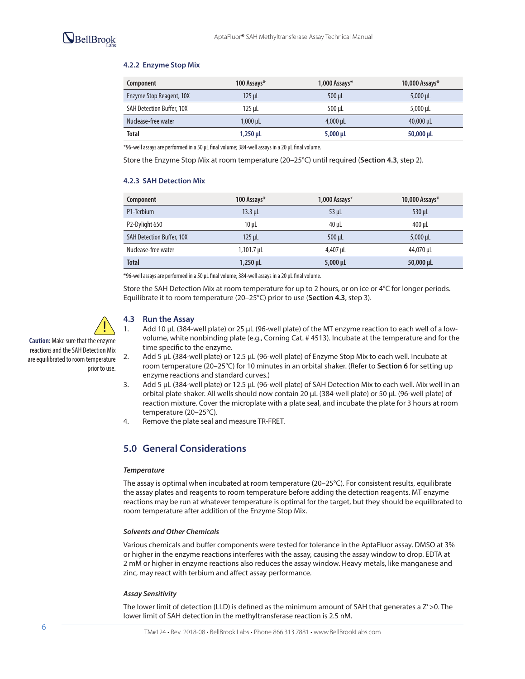### **4.2.2 Enzyme Stop Mix**

| Component                        | 100 Assays*     | 1,000 Assays $*$ | 10,000 Assays $*$ |
|----------------------------------|-----------------|------------------|-------------------|
| Enzyme Stop Reagent, 10X         | $125$ $\mu$     | 500 uL           | $5,000 \,\mu$ L   |
| <b>SAH Detection Buffer, 10X</b> | 125 uL          | 500 uL           | 5,000 uL          |
| Nuclease-free water              | $1,000 \,\mu L$ | 4.000 uL         |                   |
| <b>Total</b>                     | $1,250 \,\mu$ L | $5,000 \mu L$    | $50,000 \,\mu$ L  |

\*96-well assays are performed in a 50 µL final volume; 384-well assays in a 20 µL final volume.

Store the Enzyme Stop Mix at room temperature (20–25°C) until required (**Section 4.3**, step 2).

### **4.2.3 SAH Detection Mix**

| Component                        | 100 Assays*       | 1,000 Assays* | 10,000 Assays $*$ |
|----------------------------------|-------------------|---------------|-------------------|
| P1-Terbium                       | $13.3$ µL         | 53 uL         | $530$ µL          |
| P2-Dylight 650                   | $10 \mu L$        | 40 uL         | $400$ µL          |
| <b>SAH Detection Buffer, 10X</b> | $125$ µL          | 500 uL        | $5,000 \,\mu$ L   |
| Nuclease-free water              | $1,101.7 \,\mu L$ | 4,407 µL      | 44,070 µL         |
| <b>Total</b>                     | $1,250 \,\mu L$   | $5,000 \mu L$ | $50,000 \,\mu$ L  |

\*96-well assays are performed in a 50 µL final volume; 384-well assays in a 20 µL final volume.

Store the SAH Detection Mix at room temperature for up to 2 hours, or on ice or 4°C for longer periods. Equilibrate it to room temperature (20–25°C) prior to use (**Section 4.3**, step 3).



prior to use.

reactions and the SAH Detection Mix are equilibrated to room temperature

# **4.3 Run the Assay**

- 1. Add 10 µL (384-well plate) or 25 µL (96-well plate) of the MT enzyme reaction to each well of a lowvolume, white nonbinding plate (e.g., Corning Cat. # 4513). Incubate at the temperature and for the time specific to the enzyme.
- 2. Add 5 µL (384-well plate) or 12.5 µL (96-well plate) of Enzyme Stop Mix to each well. Incubate at room temperature (20–25°C) for 10 minutes in an orbital shaker. (Refer to **Section 6** for setting up enzyme reactions and standard curves.)
- 3. Add 5 µL (384-well plate) or 12.5 µL (96-well plate) of SAH Detection Mix to each well. Mix well in an orbital plate shaker. All wells should now contain 20 µL (384-well plate) or 50 µL (96-well plate) of reaction mixture. Cover the microplate with a plate seal, and incubate the plate for 3 hours at room temperature (20–25°C).
- 4. Remove the plate seal and measure TR-FRET.

# **5.0 General Considerations**

### *Temperature*

The assay is optimal when incubated at room temperature (20–25°C). For consistent results, equilibrate the assay plates and reagents to room temperature before adding the detection reagents. MT enzyme reactions may be run at whatever temperature is optimal for the target, but they should be equilibrated to room temperature after addition of the Enzyme Stop Mix.

#### *Solvents and Other Chemicals*

Various chemicals and buffer components were tested for tolerance in the AptaFluor assay. DMSO at 3% or higher in the enzyme reactions interferes with the assay, causing the assay window to drop. EDTA at 2 mM or higher in enzyme reactions also reduces the assay window. Heavy metals, like manganese and zinc, may react with terbium and affect assay performance.

### *Assay Sensitivity*

The lower limit of detection (LLD) is defined as the minimum amount of SAH that generates a Z' > 0. The lower limit of SAH detection in the methyltransferase reaction is 2.5 nM.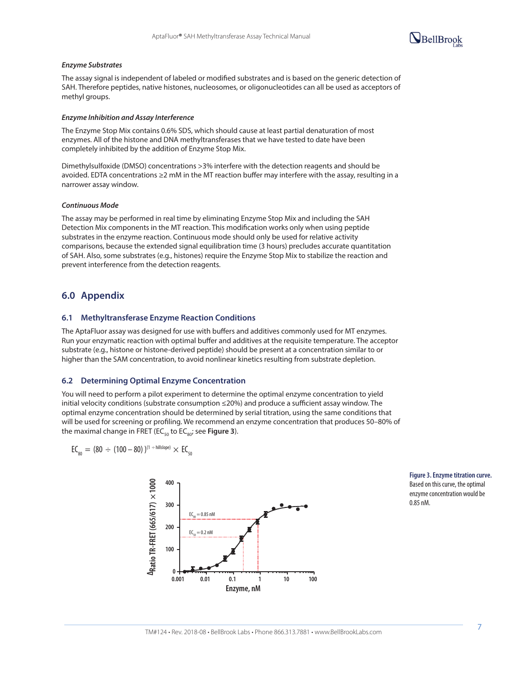

#### *Enzyme Substrates*

The assay signal is independent of labeled or modified substrates and is based on the generic detection of SAH. Therefore peptides, native histones, nucleosomes, or oligonucleotides can all be used as acceptors of methyl groups.

#### *Enzyme Inhibition and Assay Interference*

The Enzyme Stop Mix contains 0.6% SDS, which should cause at least partial denaturation of most enzymes. All of the histone and DNA methyltransferases that we have tested to date have been completely inhibited by the addition of Enzyme Stop Mix.

Dimethylsulfoxide (DMSO) concentrations >3% interfere with the detection reagents and should be avoided. EDTA concentrations ≥2 mM in the MT reaction buffer may interfere with the assay, resulting in a narrower assay window.

#### *Continuous Mode*

The assay may be performed in real time by eliminating Enzyme Stop Mix and including the SAH Detection Mix components in the MT reaction. This modification works only when using peptide substrates in the enzyme reaction. Continuous mode should only be used for relative activity comparisons, because the extended signal equilibration time (3 hours) precludes accurate quantitation of SAH. Also, some substrates (e.g., histones) require the Enzyme Stop Mix to stabilize the reaction and prevent interference from the detection reagents.

### **6.0 Appendix**

### **6.1 Methyltransferase Enzyme Reaction Conditions**

The AptaFluor assay was designed for use with buffers and additives commonly used for MT enzymes. Run your enzymatic reaction with optimal buffer and additives at the requisite temperature. The acceptor substrate (e.g., histone or histone-derived peptide) should be present at a concentration similar to or higher than the SAM concentration, to avoid nonlinear kinetics resulting from substrate depletion.

# **6.2 Determining Optimal Enzyme Concentration**

You will need to perform a pilot experiment to determine the optimal enzyme concentration to yield nod win need to perform a prior experiment to determine the optimal enzyme concentration to yield<br>initial velocity conditions (substrate consumption ≤20%) and produce a sufficient assay window. The optimal enzyme concentration should be determined by serial titration, using the same conditions that will be used for screening or profiling. We recommend an enzyme concentration that produces 50–80% of the maximal change in FRET (EC $_{50}$  to EC $_{80}$ ; see **Figure 3**).

$$
EC_{_{80}} = (80\,\div\,(100-80)\,)^{(1\,\div\,hillslope)}\times\,EC_{_{50}}
$$



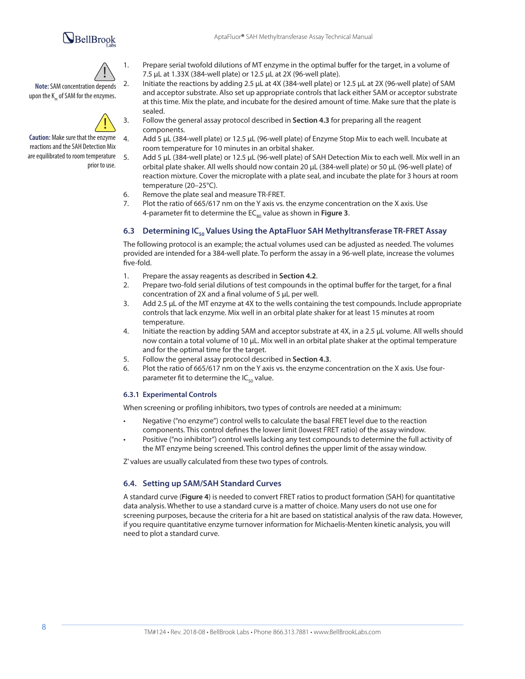# BellBrook



**Note:** SAM concentration depends upon the K<sub>m</sub> of SAM for the enzymes.



**Caution:** Make sure that the enzyme reactions and the SAH Detection Mix are equilibrated to room temperature prior to use.

- 1. Prepare serial twofold dilutions of MT enzyme in the optimal buffer for the target, in a volume of 7.5 µL at 1.33X (384-well plate) or 12.5 µL at 2X (96-well plate).
- 2. Initiate the reactions by adding 2.5 µL at 4X (384-well plate) or 12.5 µL at 2X (96-well plate) of SAM and acceptor substrate. Also set up appropriate controls that lack either SAM or acceptor substrate at this time. Mix the plate, and incubate for the desired amount of time. Make sure that the plate is sealed.
- 3. Follow the general assay protocol described in **Section 4.3** for preparing all the reagent components.
- 4. Add 5 µL (384-well plate) or 12.5 µL (96-well plate) of Enzyme Stop Mix to each well. Incubate at room temperature for 10 minutes in an orbital shaker.
- 5. Add 5 µL (384-well plate) or 12.5 µL (96-well plate) of SAH Detection Mix to each well. Mix well in an orbital plate shaker. All wells should now contain 20 µL (384-well plate) or 50 µL (96-well plate) of reaction mixture. Cover the microplate with a plate seal, and incubate the plate for 3 hours at room temperature (20–25°C).
- 6. Remove the plate seal and measure TR-FRET.
- 7. Plot the ratio of 665/617 nm on the Y axis vs. the enzyme concentration on the X axis. Use 4-parameter fit to determine the EC<sub>80</sub> value as shown in Figure 3.

### 6.3 **Determining IC<sub>50</sub> Values Using the AptaFluor SAH Methyltransferase TR-FRET Assay**

The following protocol is an example; the actual volumes used can be adjusted as needed. The volumes provided are intended for a 384-well plate. To perform the assay in a 96-well plate, increase the volumes five-fold.

- 1. Prepare the assay reagents as described in **Section 4.2**.
- 2. Prepare two-fold serial dilutions of test compounds in the optimal buffer for the target, for a final concentration of 2X and a final volume of 5 µL per well.
- 3. Add 2.5 µL of the MT enzyme at 4X to the wells containing the test compounds. Include appropriate controls that lack enzyme. Mix well in an orbital plate shaker for at least 15 minutes at room temperature.
- 4. Initiate the reaction by adding SAM and acceptor substrate at 4X, in a 2.5 µL volume. All wells should now contain a total volume of 10 μL. Mix well in an orbital plate shaker at the optimal temperature and for the optimal time for the target.
- 5. Follow the general assay protocol described in **Section 4.3**.
- 6. Plot the ratio of 665/617 nm on the Y axis vs. the enzyme concentration on the X axis. Use fourparameter fit to determine the  $IC_{50}$  value.

### **6.3.1 Experimental Controls**

When screening or profiling inhibitors, two types of controls are needed at a minimum:

- Negative ("no enzyme") control wells to calculate the basal FRET level due to the reaction components. This control defines the lower limit (lowest FRET ratio) of the assay window.
- Positive ("no inhibitor") control wells lacking any test compounds to determine the full activity of the MT enzyme being screened. This control defines the upper limit of the assay window.

Z' values are usually calculated from these two types of controls.

### **6.4. Setting up SAM/SAH Standard Curves**

A standard curve (**Figure 4**) is needed to convert FRET ratios to product formation (SAH) for quantitative data analysis. Whether to use a standard curve is a matter of choice. Many users do not use one for screening purposes, because the criteria for a hit are based on statistical analysis of the raw data. However, if you require quantitative enzyme turnover information for Michaelis-Menten kinetic analysis, you will need to plot a standard curve.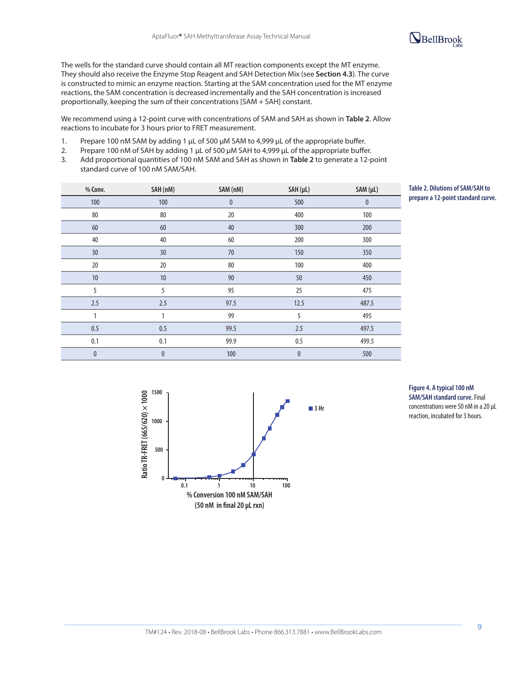

The wells for the standard curve should contain all MT reaction components except the MT enzyme. They should also receive the Enzyme Stop Reagent and SAH Detection Mix (see **Section 4.3**). The curve is constructed to mimic an enzyme reaction. Starting at the SAM concentration used for the MT enzyme reactions, the SAM concentration is decreased incrementally and the SAH concentration is increased proportionally, keeping the sum of their concentrations [SAM + SAH] constant.

We recommend using a 12-point curve with concentrations of SAM and SAH as shown in **Table 2**. Allow reactions to incubate for 3 hours prior to FRET measurement.

- 1. Prepare 100 nM SAM by adding 1 µL of 500 µM SAM to 4,999 µL of the appropriate buffer.
- 2. Prepare 100 nM of SAH by adding 1 µL of 500 µM SAH to 4,999 µL of the appropriate buffer.
- 3. Add proportional quantities of 100 nM SAM and SAH as shown in **Table 2** to generate a 12-point standard curve of 100 nM SAM/SAH.

| % Conv.      | SAH (nM)  | SAM (nM)     | SAH (µL)     | SAM (µL) |
|--------------|-----------|--------------|--------------|----------|
| 100          | 100       | $\mathbf{0}$ | 500          | $\bf{0}$ |
| 80           | 80        | 20           | 400          | 100      |
| 60           | 60        | 40           | 300          | 200      |
| 40           | 40        | 60           | 200          | 300      |
| 30           | 30        | $70\,$       | 150          | 350      |
| 20           | 20        | 80           | 100          | 400      |
| 10           | 10        | 90           | 50           | 450      |
| 5            | 5         | 95           | 25           | 475      |
| 2.5          | 2.5       | 97.5         | 12.5         | 487.5    |
| 1            | 1         | 99           | 5            | 495      |
| 0.5          | 0.5       | 99.5         | 2.5          | 497.5    |
| 0.1          | 0.1       | 99.9         | 0.5          | 499.5    |
| $\mathbf{0}$ | $\pmb{0}$ | 100          | $\mathbf{0}$ | 500      |

**Table 2. Dilutions of SAM/SAH to prepare a 12-point standard curve.** 



### **Figure 4. A typical 100 nM SAM/SAH standard curve.** Final concentrations were 50 nM in a 20 µL reaction, incubated for 3 hours.